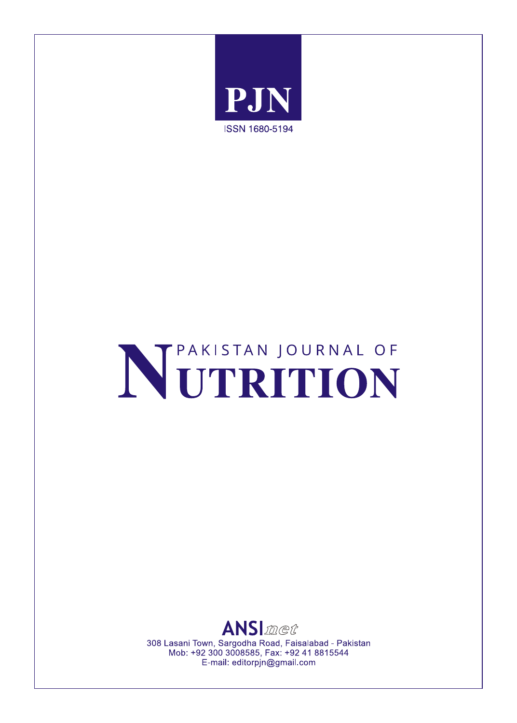

# NETRITION



308 Lasani Town, Sargodha Road, Faisalabad - Pakistan Mob: +92 300 3008585, Fax: +92 41 8815544 E-mail: editorpjn@gmail.com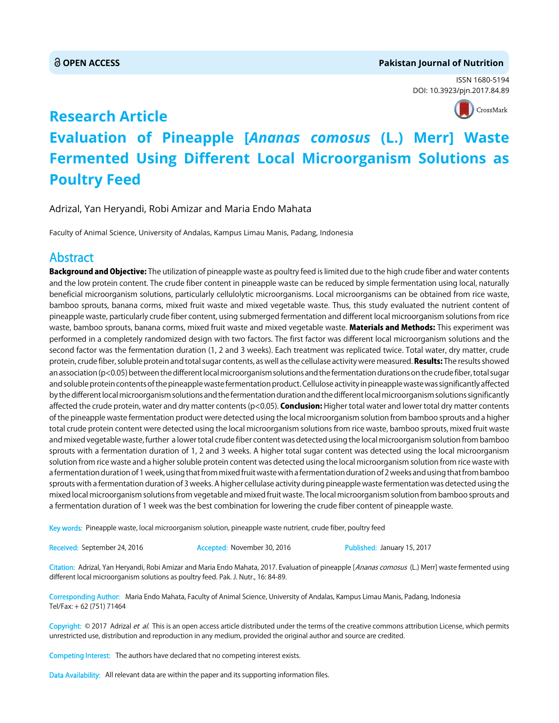#### **OPEN ACCESS Pakistan Journal of Nutrition**

ISSN 1680-5194 DOI: 10.3923/pjn.2017.84.89



# **Research Article Evaluation of Pineapple [***Ananas comosus* **(L.) Merr] Waste Fermented Using Different Local Microorganism Solutions as Poultry Feed**

Adrizal, Yan Heryandi, Robi Amizar and Maria Endo Mahata

Faculty of Animal Science, University of Andalas, Kampus Limau Manis, Padang, Indonesia

### **Abstract**

Background and Objective: The utilization of pineapple waste as poultry feed is limited due to the high crude fiber and water contents and the low protein content. The crude fiber content in pineapple waste can be reduced by simple fermentation using local, naturally beneficial microorganism solutions, particularly cellulolytic microorganisms. Local microorganisms can be obtained from rice waste, bamboo sprouts, banana corms, mixed fruit waste and mixed vegetable waste. Thus, this study evaluated the nutrient content of pineapple waste, particularly crude fiber content, using submerged fermentation and different local microorganism solutions from rice waste, bamboo sprouts, banana corms, mixed fruit waste and mixed vegetable waste. Materials and Methods: This experiment was performed in a completely randomized design with two factors. The first factor was different local microorganism solutions and the second factor was the fermentation duration (1, 2 and 3 weeks). Each treatment was replicated twice. Total water, dry matter, crude protein, crude fiber, soluble protein and total sugar contents, as well as the cellulase activity were measured. Results: The results showed an association (p<0.05) between the different local microorganism solutions and the fermentation durations on the crude fiber, total sugar and soluble protein contents of the pineapple waste fermentation product. Cellulose activity in pineapple waste was significantly affected by the different local microorganism solutions and the fermentation duration and the different local microorganism solutions significantly affected the crude protein, water and dry matter contents (p<0.05). **Conclusion:** Higher total water and lower total dry matter contents of the pineapple waste fermentation product were detected using the local microorganism solution from bamboo sprouts and a higher total crude protein content were detected using the local microorganism solutions from rice waste, bamboo sprouts, mixed fruit waste and mixed vegetable waste, further a lower total crude fiber content was detected using the local microorganism solution from bamboo sprouts with a fermentation duration of 1, 2 and 3 weeks. A higher total sugar content was detected using the local microorganism solution from rice waste and a higher soluble protein content was detected using the local microorganism solution from rice waste with a fermentation duration of 1 week, using that from mixed fruit waste with a fermentation duration of 2 weeks and using that from bamboo sprouts with a fermentation duration of 3 weeks. A higher cellulase activity during pineapple waste fermentation was detected using the mixed local microorganism solutions from vegetable and mixed fruit waste. The local microorganism solution from bamboo sprouts and a fermentation duration of 1 week was the best combination for lowering the crude fiber content of pineapple waste.

Key words: Pineapple waste, local microorganism solution, pineapple waste nutrient, crude fiber, poultry feed

Received: September 24, 2016 **Accepted: November 30, 2016** Published: January 15, 2017

Citation: Adrizal, Yan Heryandi, Robi Amizar and Maria Endo Mahata, 2017. Evaluation of pineapple [Ananas comosus (L.) Merr] waste fermented using different local microorganism solutions as poultry feed. Pak. J. Nutr., 16: 84-89.

Corresponding Author: Maria Endo Mahata, Faculty of Animal Science, University of Andalas, Kampus Limau Manis, Padang, Indonesia Tel/Fax: + 62 (751) 71464

Copyright: © 2017 Adrizal et al. This is an open access article distributed under the terms of the creative commons attribution License, which permits unrestricted use, distribution and reproduction in any medium, provided the original author and source are credited.

Competing Interest: The authors have declared that no competing interest exists.

Data Availability: All relevant data are within the paper and its supporting information files.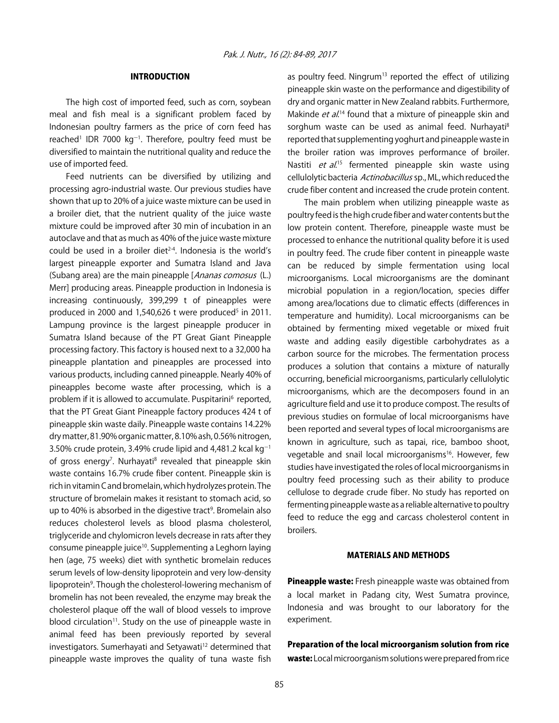#### INTRODUCTION

The high cost of imported feed, such as corn, soybean meal and fish meal is a significant problem faced by Indonesian poultry farmers as the price of corn feed has reached<sup>1</sup> IDR 7000 kg<sup>-1</sup>. Therefore, poultry feed must be diversified to maintain the nutritional quality and reduce the use of imported feed.

Feed nutrients can be diversified by utilizing and processing agro-industrial waste. Our previous studies have shown that up to 20% of a juice waste mixture can be used in a broiler diet, that the nutrient quality of the juice waste mixture could be improved after 30 min of incubation in an autoclave and that as much as 40% of the juice waste mixture could be used in a broiler diet<sup> $2-4$ </sup>. Indonesia is the world's largest pineapple exporter and Sumatra Island and Java (Subang area) are the main pineapple [Ananas comosus (L.) Merr] producing areas. Pineapple production in Indonesia is increasing continuously, 399,299 t of pineapples were produced in 2000 and 1,540,626 t were produced<sup>5</sup> in 2011. Lampung province is the largest pineapple producer in Sumatra Island because of the PT Great Giant Pineapple processing factory. This factory is housed next to a 32,000 ha pineapple plantation and pineapples are processed into various products, including canned pineapple. Nearly 40% of pineapples become waste after processing, which is a problem if it is allowed to accumulate. Puspitarini<sup>6</sup> reported, that the PT Great Giant Pineapple factory produces 424 t of pineapple skin waste daily. Pineapple waste contains 14.22% dry matter, 81.90% organic matter, 8.10% ash, 0.56% nitrogen, 3.50% crude protein, 3.49% crude lipid and 4,481.2 kcal kg $^{-1}$ of gross energy<sup>7</sup>. Nurhayati<sup>8</sup> revealed that pineapple skin waste contains 16.7% crude fiber content. Pineapple skin is rich in vitamin C and bromelain, which hydrolyzes protein. The structure of bromelain makes it resistant to stomach acid, so up to 40% is absorbed in the digestive tract<sup>9</sup>. Bromelain also reduces cholesterol levels as blood plasma cholesterol, triglyceride and chylomicron levels decrease in rats after they consume pineapple juice<sup>10</sup>. Supplementing a Leghorn laying hen (age, 75 weeks) diet with synthetic bromelain reduces serum levels of low-density lipoprotein and very low-density lipoprotein<sup>9</sup>. Though the cholesterol-lowering mechanism of bromelin has not been revealed, the enzyme may break the cholesterol plaque off the wall of blood vessels to improve blood circulation<sup>11</sup>. Study on the use of pineapple waste in animal feed has been previously reported by several investigators. Sumerhayati and Setyawati<sup>12</sup> determined that pineapple waste improves the quality of tuna waste fish

as poultry feed. Ningrum<sup>13</sup> reported the effect of utilizing pineapple skin waste on the performance and digestibility of dry and organic matter in New Zealand rabbits. Furthermore, Makinde et al.<sup>14</sup> found that a mixture of pineapple skin and sorghum waste can be used as animal feed. Nurhayati<sup>8</sup> reported that supplementing yoghurt and pineapple waste in the broiler ration was improves performance of broiler. Nastiti et al.<sup>15</sup> fermented pineapple skin waste using cellulolytic bacteria Actinobacillus sp., ML, which reduced the crude fiber content and increased the crude protein content.

The main problem when utilizing pineapple waste as poultry feed is the high crude fiber and water contents but the low protein content. Therefore, pineapple waste must be processed to enhance the nutritional quality before it is used in poultry feed. The crude fiber content in pineapple waste can be reduced by simple fermentation using local microorganisms. Local microorganisms are the dominant microbial population in a region/location, species differ among area/locations due to climatic effects (differences in temperature and humidity). Local microorganisms can be obtained by fermenting mixed vegetable or mixed fruit waste and adding easily digestible carbohydrates as a carbon source for the microbes. The fermentation process produces a solution that contains a mixture of naturally occurring, beneficial microorganisms, particularly cellulolytic microorganisms, which are the decomposers found in an agriculture field and use it to produce compost. The results of previous studies on formulae of local microorganisms have been reported and several types of local microorganisms are known in agriculture, such as tapai, rice, bamboo shoot, vegetable and snail local microorganisms<sup>16</sup>. However, few studies have investigated the roles of local microorganisms in poultry feed processing such as their ability to produce cellulose to degrade crude fiber. No study has reported on fermenting pineapple waste as a reliable alternative to poultry feed to reduce the egg and carcass cholesterol content in broilers.

#### MATERIALS AND METHODS

Pineapple waste: Fresh pineapple waste was obtained from a local market in Padang city, West Sumatra province, Indonesia and was brought to our laboratory for the experiment.

## Preparation of the local microorganism solution from rice

waste: Local microorganism solutions were prepared from rice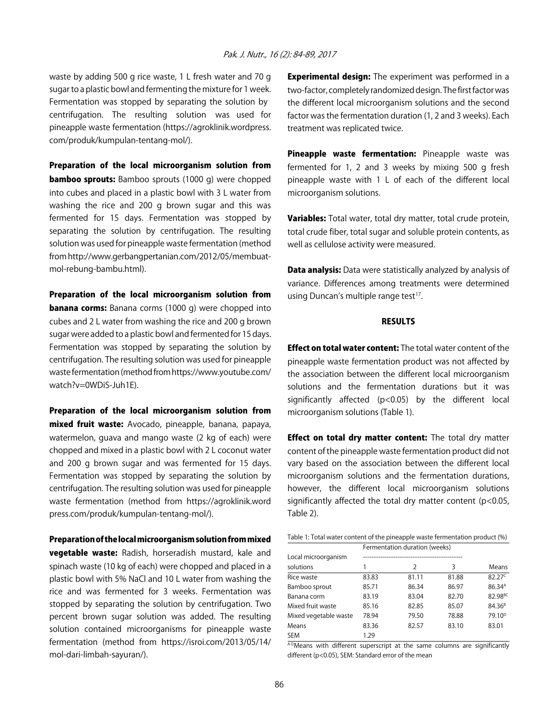#### Pak. J. Nutr., 16 (2): 84-89, 2017

waste by adding 500 g rice waste, 1 L fresh water and 70 g sugar to a plastic bowl and fermenting the mixture for 1 week. Fermentation was stopped by separating the solution by centrifugation. The resulting solution was used for pineapple waste fermentation (https://agroklinik.wordpress. com/produk/kumpulan-tentang-mol/).

Preparation of the local microorganism solution from bamboo sprouts: Bamboo sprouts (1000 g) were chopped into cubes and placed in a plastic bowl with 3 L water from washing the rice and 200 g brown sugar and this was fermented for 15 days. Fermentation was stopped by separating the solution by centrifugation. The resulting solution was used for pineapple waste fermentation (method from http://www.gerbangpertanian.com/2012/05/membuatmol-rebung-bambu.html).

Preparation of the local microorganism solution from **banana corms:** Banana corms (1000 g) were chopped into cubes and 2 L water from washing the rice and 200 g brown sugar were added to a plastic bowl and fermented for 15 days. Fermentation was stopped by separating the solution by centrifugation. The resulting solution was used for pineapple waste fermentation (method from https://www.youtube.com/ watch?v=0WDiS-Juh1E).

Preparation of the local microorganism solution from mixed fruit waste: Avocado, pineapple, banana, papaya, watermelon, guava and mango waste (2 kg of each) were chopped and mixed in a plastic bowl with 2 L coconut water and 200 g brown sugar and was fermented for 15 days. Fermentation was stopped by separating the solution by centrifugation. The resulting solution was used for pineapple waste fermentation (method from https://agroklinik.word press.com/produk/kumpulan-tentang-mol/).

Preparation of the local microorganism solution from mixed vegetable waste: Radish, horseradish mustard, kale and spinach waste (10 kg of each) were chopped and placed in a plastic bowl with 5% NaCl and 10 L water from washing the rice and was fermented for 3 weeks. Fermentation was stopped by separating the solution by centrifugation. Two percent brown sugar solution was added. The resulting solution contained microorganisms for pineapple waste fermentation (method from https://isroi.com/2013/05/14/ mol-dari-limbah-sayuran/).

**Experimental design:** The experiment was performed in a two-factor, completely randomized design. The first factor was the different local microorganism solutions and the second factor was the fermentation duration (1, 2 and 3 weeks). Each treatment was replicated twice.

Pineapple waste fermentation: Pineapple waste was fermented for 1, 2 and 3 weeks by mixing 500 g fresh pineapple waste with 1 L of each of the different local microorganism solutions.

Variables: Total water, total dry matter, total crude protein, total crude fiber, total sugar and soluble protein contents, as well as cellulose activity were measured.

**Data analysis:** Data were statistically analyzed by analysis of variance. Differences among treatments were determined using Duncan's multiple range test<sup>17</sup>.

#### RESULTS

**Effect on total water content:** The total water content of the pineapple waste fermentation product was not affected by the association between the different local microorganism solutions and the fermentation durations but it was significantly affected (p<0.05) by the different local microorganism solutions (Table 1).

**Effect on total dry matter content:** The total dry matter content of the pineapple waste fermentation product did not vary based on the association between the different local microorganism solutions and the fermentation durations, however, the different local microorganism solutions significantly affected the total dry matter content (p<0.05, Table 2).

| Table 1: Total water content of the pineapple waste fermentation product (%) |
|------------------------------------------------------------------------------|
| Fermentation duration (weeks)                                                |

| Local microorganism   |       |               |       |                     |
|-----------------------|-------|---------------|-------|---------------------|
| solutions             |       | $\mathcal{P}$ | 3     | Means               |
| Rice waste            | 83.83 | 81.11         | 81.88 | 82.27 <sup>c</sup>  |
| Bamboo sprout         | 85.71 | 86.34         | 86.97 | 86.34 <sup>A</sup>  |
| Banana corm           | 83.19 | 83.04         | 82.70 | 82.98 <sup>BC</sup> |
| Mixed fruit waste     | 85.16 | 82.85         | 85.07 | $84.36^{B}$         |
| Mixed vegetable waste | 78.94 | 79.50         | 78.88 | 79.10 <sup>p</sup>  |
| Means                 | 83.36 | 82.57         | 83.10 | 83.01               |
| <b>SEM</b>            | 1.29  |               |       |                     |

A-DMeans with different superscript at the same columns are significantly different (p<0.05), SEM: Standard error of the mean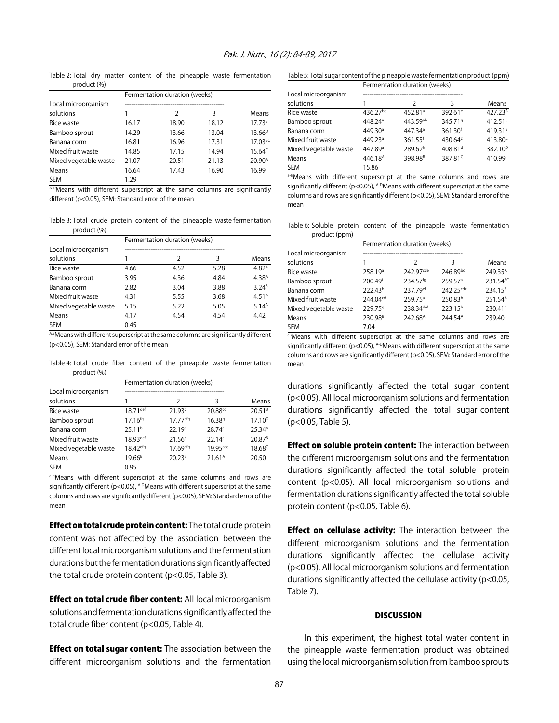Table 2: Total dry matter content of the pineapple waste fermentation product (%)

|                       | Fermentation duration (weeks) |       |       |                    |
|-----------------------|-------------------------------|-------|-------|--------------------|
| Local microorganism   |                               |       |       |                    |
| solutions             |                               | 2     | 3     | Means              |
| Rice waste            | 16.17                         | 18.90 | 18.12 | 17.73 <sup>B</sup> |
| Bamboo sprout         | 14.29                         | 13.66 | 13.04 | $13.66^{D}$        |
| Banana corm           | 16.81                         | 16.96 | 17.31 | $17.03^{BC}$       |
| Mixed fruit waste     | 14.85                         | 17.15 | 14.94 | $15.64^c$          |
| Mixed vegetable waste | 21.07                         | 20.51 | 21.13 | 20.90 <sup>A</sup> |
| Means                 | 16.64                         | 17.43 | 16.90 | 16.99              |
| <b>SEM</b>            | 1.29                          |       |       |                    |

A-DMeans with different superscript at the same columns are significantly different (p<0.05), SEM: Standard error of the mean

Table 3: Total crude protein content of the pineapple waste fermentation product (%)

|                       | Fermentation duration (weeks) |               |      |                   |
|-----------------------|-------------------------------|---------------|------|-------------------|
| Local microorganism   |                               |               |      |                   |
| solutions             |                               | $\mathcal{P}$ | 3    | Means             |
| Rice waste            | 4.66                          | 4.52          | 5.28 | 4.82 <sup>A</sup> |
| Bamboo sprout         | 3.95                          | 4.36          | 4.84 | 4.38 <sup>A</sup> |
| Banana corm           | 2.82                          | 3.04          | 3.88 | $3.24^{B}$        |
| Mixed fruit waste     | 4.31                          | 5.55          | 3.68 | 4.51 <sup>A</sup> |
| Mixed vegetable waste | 5.15                          | 5.22          | 5.05 | 5.14 <sup>A</sup> |
| Means                 | 4.17                          | 4.54          | 4.54 | 4.42              |
| <b>SEM</b>            | 0.45                          |               |      |                   |

A,BMeans with different superscript at the same columns are significantly different (p<0.05), SEM: Standard error of the mean

Table 4: Total crude fiber content of the pineapple waste fermentation product (%)

|                                  | Fermentation duration (weeks) |                      |                     |                    |
|----------------------------------|-------------------------------|----------------------|---------------------|--------------------|
| Local microorganism<br>solutions |                               |                      |                     |                    |
|                                  |                               | $\mathcal{P}$        | 3                   | Means              |
| Rice waste                       | 18.71 def                     | 21.93c               | 20.88 <sup>cd</sup> | $20.51^{B}$        |
| Bamboo sprout                    | $17.16^{fg}$                  | 17.77 <sup>efg</sup> | 16.38 <sup>9</sup>  | $17.10^{D}$        |
| Banana corm                      | 25.11 <sup>b</sup>            | 22.19c               | 28.74 <sup>a</sup>  | 25.34 <sup>A</sup> |
| Mixed fruit waste                | 18.93def                      | 21.56c               | 22.14c              | $20.87^{B}$        |
| Mixed vegetable waste            | 18.42 <sup>efg</sup>          | 17.69efg             | 1995 <sub>cde</sub> | 18.68 <sup>c</sup> |
| Means                            | $19.66^{B}$                   | $20.23^{B}$          | 21.61 <sup>A</sup>  | 20.50              |
| <b>SEM</b>                       | 0.95                          |                      |                     |                    |

a-gMeans with different superscript at the same columns and rows are significantly different ( $p$ <0.05), A-DMeans with different superscript at the same columns and rows are significantly different (p<0.05), SEM: Standard error of the mean

Effect on total crude protein content: The total crude protein content was not affected by the association between the different local microorganism solutions and the fermentation durations but the fermentation durations significantly affected the total crude protein content (p<0.05, Table 3).

**Effect on total crude fiber content:** All local microorganism solutions and fermentation durations significantly affected the total crude fiber content (p<0.05, Table 4).

**Effect on total sugar content:** The association between the different microorganism solutions and the fermentation

Table 5: Total sugar content of the pineapple waste fermentation product (ppm)

|                                  | Fermentation duration (weeks) |                     |                     |                     |
|----------------------------------|-------------------------------|---------------------|---------------------|---------------------|
| Local microorganism<br>solutions |                               | $\mathcal{P}$       | 3                   | Means               |
| Rice waste                       | 436.27bc                      | 452.81 <sup>a</sup> | 392.61 <sup>e</sup> | 427.23A             |
| Bamboo sprout                    | 448.24 <sup>a</sup>           | 443.59ab            | 345.719             | $412.51^c$          |
| Banana corm                      | 449.30 <sup>a</sup>           | 447.34 <sup>a</sup> | 361.30 <sup>f</sup> | 419.31 <sup>B</sup> |
| Mixed fruit waste                | 449.23 <sup>a</sup>           | 361.55 <sup>f</sup> | 430.64c             | 413.80 <sup>c</sup> |
| Mixed vegetable waste            | 447.89 <sup>a</sup>           | 289.62h             | 408.81 <sup>d</sup> | 382.10 <sup>D</sup> |
| Means                            | 446.18 <sup>A</sup>           | 398.98 <sup>B</sup> | 387.81 <sup>c</sup> | 410.99              |
| SEM                              | 15.86                         |                     |                     |                     |

a-hMeans with different superscript at the same columns and rows are significantly different (p<0.05),  $A-D$ Means with different superscript at the same columns and rows are significantly different (p<0.05), SEM: Standard error of the mean

Table 6: Soluble protein content of the pineapple waste fermentation product (ppm)

|                       | Fermentation duration (weeks) |                     |                     |                      |
|-----------------------|-------------------------------|---------------------|---------------------|----------------------|
| Local microorganism   |                               |                     |                     |                      |
| solutions             |                               | $\mathcal{P}$       | 3                   | Means                |
| Rice waste            | 258.19 <sup>a</sup>           | 242 97cde           | 246.89bc            | 249.35 <sup>A</sup>  |
| Bamboo sprout         | 200.49 <sup>i</sup>           | 234.57fg            | 259.57 <sup>a</sup> | 231.54 <sup>BC</sup> |
| Banana corm           | 222.43h                       | 237.79ef            | 242.25cde           | 234.15 <sup>B</sup>  |
| Mixed fruit waste     | 244.04 <sup>cd</sup>          | 259.75 <sup>a</sup> | 250.83 <sup>b</sup> | 251.54 <sup>A</sup>  |
| Mixed vegetable waste | 229.759                       | 238.34def           | 223.15h             | 230.41 <sup>c</sup>  |
| Means                 | 230.98 <sup>B</sup>           | 242.68 <sup>A</sup> | 244.54 <sup>A</sup> | 239.40               |
| <b>SEM</b>            | 7.04                          |                     |                     |                      |

a-iMeans with different superscript at the same columns and rows are significantly different ( $p$ <0.05), A-DMeans with different superscript at the same columns and rows are significantly different (p<0.05), SEM: Standard error of the mean

durations significantly affected the total sugar content (p<0.05). All local microorganism solutions and fermentation durations significantly affected the total sugar content (p<0.05, Table 5).

**Effect on soluble protein content:** The interaction between the different microorganism solutions and the fermentation durations significantly affected the total soluble protein content (p<0.05). All local microorganism solutions and fermentation durations significantly affected the total soluble protein content (p<0.05, Table 6).

**Effect on cellulase activity:** The interaction between the different microorganism solutions and the fermentation durations significantly affected the cellulase activity (p<0.05). All local microorganism solutions and fermentation durations significantly affected the cellulase activity (p<0.05, Table 7).

#### **DISCUSSION**

In this experiment, the highest total water content in the pineapple waste fermentation product was obtained using the local microorganism solution from bamboo sprouts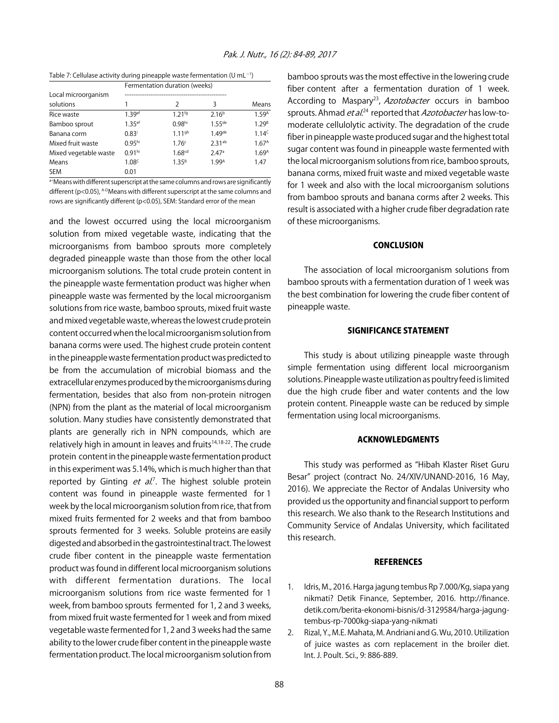Table 7: Cellulase activity during pineapple waste fermentation (U mL $^{-1}$ )

|                       | Fermentation duration (weeks) |                    |                   |                   |
|-----------------------|-------------------------------|--------------------|-------------------|-------------------|
| Local microorganism   |                               |                    |                   |                   |
| solutions             | 1                             | $\mathcal{P}$      | 3                 | Means             |
| Rice waste            | 1.39ef                        | 1.21fg             | 2.16 <sup>b</sup> | 1.59A             |
| Bamboo sprout         | 1.35 <sup>ef</sup>            | 0.98hi             | $1.55$ de         | 1.29 <sup>B</sup> |
| Banana corm           | $0.83^{i}$                    | 1.11 <sup>gh</sup> | 1.49de            | 1.14 <sup>c</sup> |
| Mixed fruit waste     | 0.95 <sup>hi</sup>            | 1.76c              | 2.31ab            | 1.67 <sup>A</sup> |
| Mixed vegetable waste | 0.91hi                        | 1.68 <sup>cd</sup> | 2.47a             | 1.69 <sup>A</sup> |
| Means                 | 1.08 <sup>c</sup>             | $1.35^{B}$         | 1.99A             | 1.47              |
| <b>SEM</b>            | 0.01                          |                    |                   |                   |

a<sup>-i</sup>Means with different superscript at the same columns and rows are significantly different ( $p$ <0.05), A-DMeans with different superscript at the same columns and rows are significantly different (p<0.05), SEM: Standard error of the mean

and the lowest occurred using the local microorganism solution from mixed vegetable waste, indicating that the microorganisms from bamboo sprouts more completely degraded pineapple waste than those from the other local microorganism solutions. The total crude protein content in the pineapple waste fermentation product was higher when pineapple waste was fermented by the local microorganism solutions from rice waste, bamboo sprouts, mixed fruit waste and mixed vegetable waste, whereas the lowest crude protein content occurred when the local microorganism solution from banana corms were used. The highest crude protein content in the pineapple waste fermentation product was predicted to be from the accumulation of microbial biomass and the extracellular enzymes produced by the microorganisms during fermentation, besides that also from non-protein nitrogen (NPN) from the plant as the material of local microorganism solution. Many studies have consistently demonstrated that plants are generally rich in NPN compounds, which are relatively high in amount in leaves and fruits<sup>14,18-22</sup>. The crude protein content in the pineapple waste fermentation product in this experiment was 5.14%, which is much higher than that reported by Ginting et al.<sup>7</sup>. The highest soluble protein content was found in pineapple waste fermented for 1 week by the local microorganism solution from rice, that from mixed fruits fermented for 2 weeks and that from bamboo sprouts fermented for 3 weeks. Soluble proteins are easily digested and absorbed in the gastrointestinal tract. The lowest crude fiber content in the pineapple waste fermentation product was found in different local microorganism solutions with different fermentation durations. The local microorganism solutions from rice waste fermented for 1 week, from bamboo sprouts fermented for 1, 2 and 3 weeks, from mixed fruit waste fermented for 1 week and from mixed vegetable waste fermented for 1, 2 and 3 weeks had the same ability to the lower crude fiber content in the pineapple waste fermentation product. The local microorganism solution from

bamboo sprouts was the most effective in the lowering crude fiber content after a fermentation duration of 1 week. According to Maspary<sup>23</sup>, Azotobacter occurs in bamboo sprouts. Ahmad *et al.*<sup>24</sup> reported that *Azotobacter* has low-tomoderate cellulolytic activity. The degradation of the crude fiber in pineapple waste produced sugar and the highest total sugar content was found in pineapple waste fermented with the local microorganism solutions from rice, bamboo sprouts, banana corms, mixed fruit waste and mixed vegetable waste for 1 week and also with the local microorganism solutions from bamboo sprouts and banana corms after 2 weeks. This result is associated with a higher crude fiber degradation rate of these microorganisms.

#### **CONCLUSION**

The association of local microorganism solutions from bamboo sprouts with a fermentation duration of 1 week was the best combination for lowering the crude fiber content of pineapple waste.

#### SIGNIFICANCE STATEMENT

This study is about utilizing pineapple waste through simple fermentation using different local microorganism solutions. Pineapple waste utilization as poultry feed is limited due the high crude fiber and water contents and the low protein content. Pineapple waste can be reduced by simple fermentation using local microorganisms.

#### ACKNOWLEDGMENTS

This study was performed as "Hibah Klaster Riset Guru Besar" project (contract No. 24/XIV/UNAND-2016, 16 May, 2016). We appreciate the Rector of Andalas University who provided us the opportunity and financial support to perform this research. We also thank to the Research Institutions and Community Service of Andalas University, which facilitated this research.

#### **REFERENCES**

- 1. Idris, M., 2016. Harga jagung tembus Rp 7.000/Kg, siapa yang nikmati? Detik Finance, September, 2016. http://finance. detik.com/berita-ekonomi-bisnis/d-3129584/harga-jagungtembus-rp-7000kg-siapa-yang-nikmati
- 2. Rizal, Y., M.E. Mahata, M. Andriani and G. Wu, 2010. Utilization of juice wastes as corn replacement in the broiler diet. Int. J. Poult. Sci., 9: 886-889.